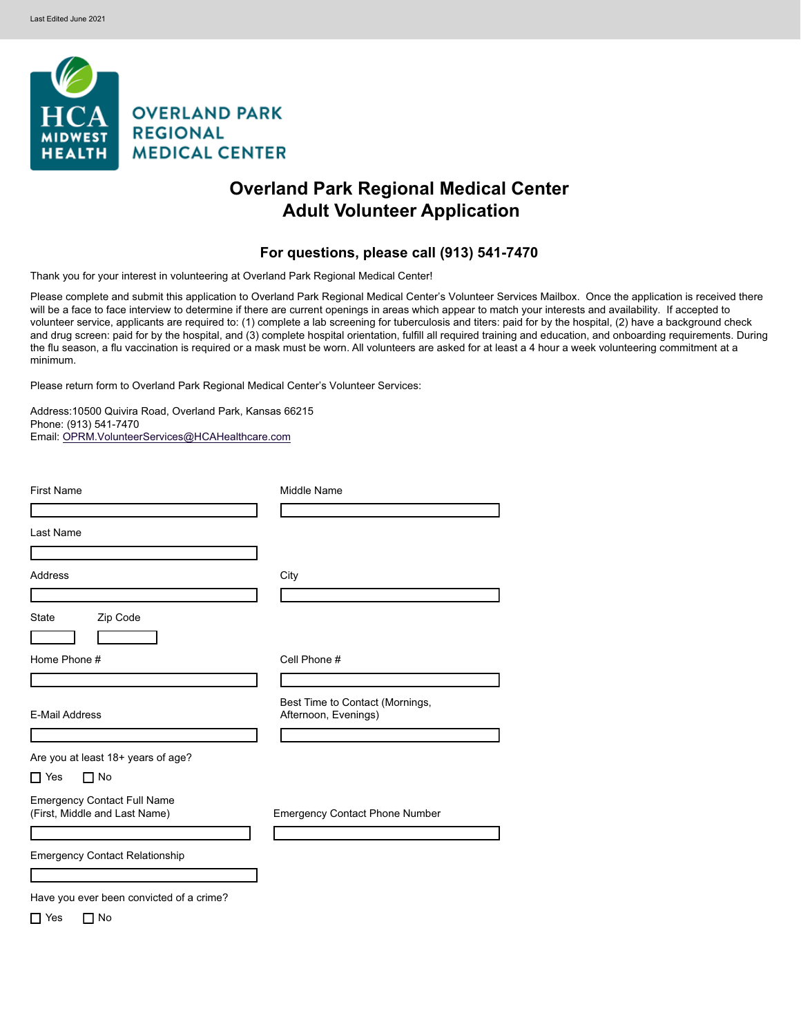

# **Overland Park Regional Medical Center Adult Volunteer Application**

# For questions, please call (913) 541-7470

Thank you for your interest in volunteering at Overland Park Regional Medical Center!

Please complete and submit this application to Overland Park Regional Medical Center's Volunteer Services Mailbox. Once the application is received there will be a face to face interview to determine if there are current openings in areas which appear to match your interests and availability. If accepted to volunteer service, applicants are required to: (1) complete a lab screening for tuberculosis and titers: paid for by the hospital, (2) have a background check and drug screen: paid for by the hospital, and (3) complete hospital orientation, fulfill all required training and education, and onboarding requirements. During the flu season, a flu vaccination is required or a mask must be worn. All volunteers are asked for at least a 4 hour a week volunteering commitment at a minimum.

Please return form to Overland Park Regional Medical Center's Volunteer Services:

Address:10500 Quivira Road, Overland Park, Kansas 66215 Phone: (913) 541-7470 Email: [OPRM.VolunteerServices@HCAHealthcare.com](mailto:OPRM.VolunteerServices@HCAHealthcare.com)

| <b>First Name</b>                                                   | Middle Name                                                                         |
|---------------------------------------------------------------------|-------------------------------------------------------------------------------------|
| Last Name                                                           |                                                                                     |
| Address                                                             | City                                                                                |
| <b>State</b><br>Zip Code                                            |                                                                                     |
| $\overline{\textbf{v}}$<br>Home Phone #                             | Cell Phone #                                                                        |
| <b>E-Mail Address</b>                                               | Best Time to Contact (Mornings,<br>Afternoon, Evenings)<br>$\overline{\phantom{a}}$ |
| Are you at least 18+ years of age?                                  |                                                                                     |
| No<br>$\Box$ Yes<br>┓                                               |                                                                                     |
| <b>Emergency Contact Full Name</b><br>(First, Middle and Last Name) | <b>Emergency Contact Phone Number</b>                                               |
| <b>Emergency Contact Relationship</b>                               |                                                                                     |
|                                                                     |                                                                                     |
| Have you ever been convicted of a crime?                            |                                                                                     |
| $\sqcap$ Yes<br>No<br>┓                                             |                                                                                     |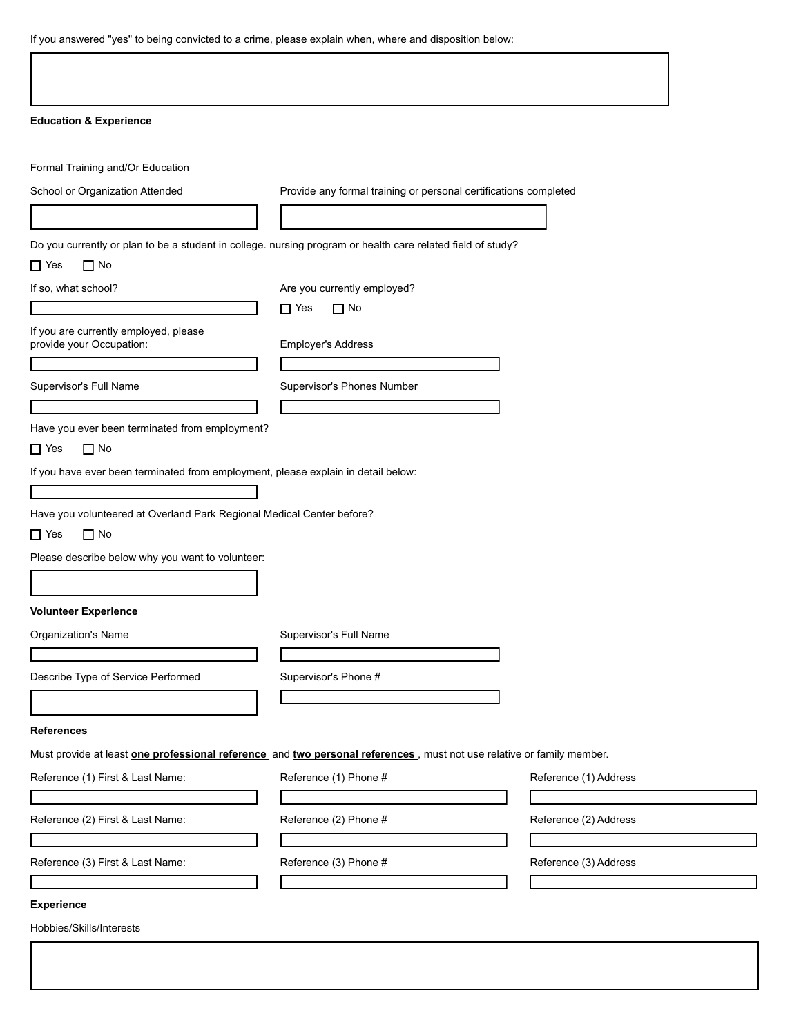If you answered "yes" to being convicted to a crime, please explain when, where and disposition below:

Г

| <b>Education &amp; Experience</b>                                                                                                                                       |                                                                                                                        |  |
|-------------------------------------------------------------------------------------------------------------------------------------------------------------------------|------------------------------------------------------------------------------------------------------------------------|--|
| Formal Training and/Or Education                                                                                                                                        |                                                                                                                        |  |
| School or Organization Attended                                                                                                                                         | Provide any formal training or personal certifications completed                                                       |  |
|                                                                                                                                                                         |                                                                                                                        |  |
|                                                                                                                                                                         | Do you currently or plan to be a student in college. nursing program or health care related field of study?            |  |
| $\Box$ No<br>$\Box$ Yes                                                                                                                                                 |                                                                                                                        |  |
| If so, what school?                                                                                                                                                     | Are you currently employed?                                                                                            |  |
|                                                                                                                                                                         | $\Box$ No<br>$\Box$ Yes                                                                                                |  |
| If you are currently employed, please<br>provide your Occupation:                                                                                                       | Employer's Address                                                                                                     |  |
|                                                                                                                                                                         |                                                                                                                        |  |
| Supervisor's Full Name                                                                                                                                                  | Supervisor's Phones Number                                                                                             |  |
|                                                                                                                                                                         |                                                                                                                        |  |
| Have you ever been terminated from employment?<br>$\Box$ No<br>$\Box$ Yes                                                                                               |                                                                                                                        |  |
|                                                                                                                                                                         |                                                                                                                        |  |
|                                                                                                                                                                         |                                                                                                                        |  |
|                                                                                                                                                                         |                                                                                                                        |  |
|                                                                                                                                                                         |                                                                                                                        |  |
| If you have ever been terminated from employment, please explain in detail below:<br>Have you volunteered at Overland Park Regional Medical Center before?<br>$\Box$ No |                                                                                                                        |  |
|                                                                                                                                                                         |                                                                                                                        |  |
|                                                                                                                                                                         |                                                                                                                        |  |
| $\Box$ Yes<br>Please describe below why you want to volunteer:                                                                                                          |                                                                                                                        |  |
|                                                                                                                                                                         |                                                                                                                        |  |
| <b>Volunteer Experience</b><br><b>Organization's Name</b>                                                                                                               | Supervisor's Full Name                                                                                                 |  |
|                                                                                                                                                                         | Supervisor's Phone #                                                                                                   |  |
|                                                                                                                                                                         |                                                                                                                        |  |
|                                                                                                                                                                         |                                                                                                                        |  |
| Describe Type of Service Performed<br><b>References</b>                                                                                                                 |                                                                                                                        |  |
|                                                                                                                                                                         | Must provide at least one professional reference and two personal references., must not use relative or family member. |  |
| Reference (1) First & Last Name:                                                                                                                                        | Reference (1) Phone #<br>Reference (1) Address                                                                         |  |
|                                                                                                                                                                         |                                                                                                                        |  |
| Reference (2) First & Last Name:                                                                                                                                        | Reference (2) Phone #<br>Reference (2) Address                                                                         |  |
| Reference (3) First & Last Name:                                                                                                                                        | Reference (3) Phone #<br>Reference (3) Address                                                                         |  |
|                                                                                                                                                                         |                                                                                                                        |  |

٦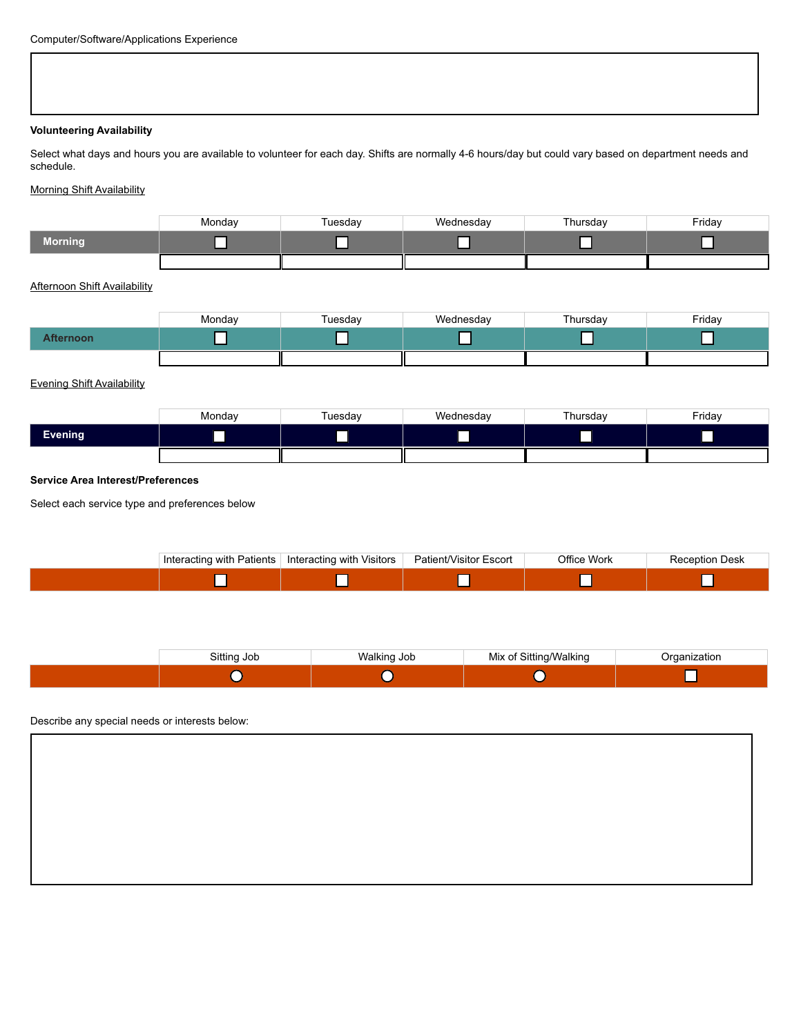#### **Volunteering Availability**

Select what days and hours you are available to volunteer for each day. Shifts are normally 4-6 hours/day but could vary based on department needs and schedule.

## Morning Shift Availability

|          | Monday | Tuesdav | Wednesday | Thursday | Friday |
|----------|--------|---------|-----------|----------|--------|
| /Morning |        |         |           |          |        |
|          |        |         |           |          |        |

## Afternoon Shift Availability

|          | Monday | Tuesday | Wednesday | Thursday | Friday |
|----------|--------|---------|-----------|----------|--------|
| fternoon |        |         |           | —        | _      |
|          |        |         |           |          |        |

## Evening Shift Availability

|                | Monday | Tuesdav | Wednesday | Thursday | Friday |
|----------------|--------|---------|-----------|----------|--------|
| <b>Evening</b> |        |         |           |          |        |
|                |        |         |           |          |        |

### **Service Area Interest/Preferences**

Select each service type and preferences below

| Interacting with Patients | Interacting with Visitors | Patient/Visitor Escort | <b>Office Work</b> | <b>Reception Desk</b> |
|---------------------------|---------------------------|------------------------|--------------------|-----------------------|
|                           |                           |                        |                    |                       |

| Sitting Job | 'alkina<br>Job<br>$\sim$ $\sim$ $\sim$ $\sim$ $\sim$ $\sim$ $\sim$<br>. . | Sitting/Walking<br>viix<br>ി | Irganization |
|-------------|---------------------------------------------------------------------------|------------------------------|--------------|
|             |                                                                           |                              |              |

### Describe any special needs or interests below: